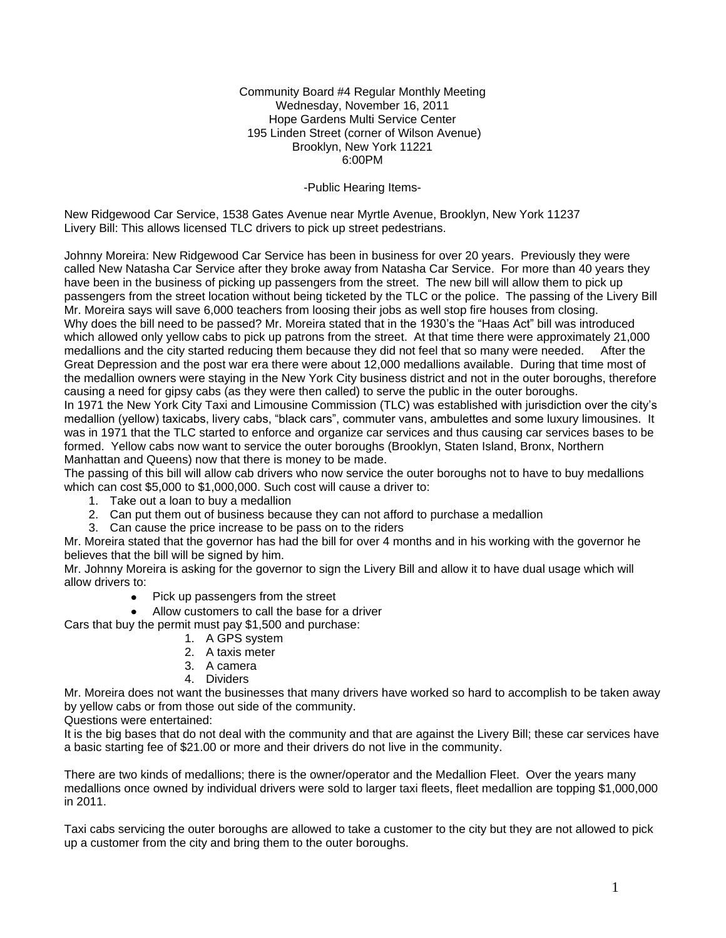Community Board #4 Regular Monthly Meeting Wednesday, November 16, 2011 Hope Gardens Multi Service Center 195 Linden Street (corner of Wilson Avenue) Brooklyn, New York 11221 6:00PM

#### -Public Hearing Items-

New Ridgewood Car Service, 1538 Gates Avenue near Myrtle Avenue, Brooklyn, New York 11237 Livery Bill: This allows licensed TLC drivers to pick up street pedestrians.

Johnny Moreira: New Ridgewood Car Service has been in business for over 20 years. Previously they were called New Natasha Car Service after they broke away from Natasha Car Service. For more than 40 years they have been in the business of picking up passengers from the street. The new bill will allow them to pick up passengers from the street location without being ticketed by the TLC or the police. The passing of the Livery Bill Mr. Moreira says will save 6,000 teachers from loosing their jobs as well stop fire houses from closing. Why does the bill need to be passed? Mr. Moreira stated that in the 1930's the "Haas Act" bill was introduced which allowed only yellow cabs to pick up patrons from the street. At that time there were approximately 21,000 medallions and the city started reducing them because they did not feel that so many were needed. After the Great Depression and the post war era there were about 12,000 medallions available. During that time most of the medallion owners were staying in the New York City business district and not in the outer boroughs, therefore causing a need for gipsy cabs (as they were then called) to serve the public in the outer boroughs. In 1971 the New York City Taxi and Limousine Commission (TLC) was established with jurisdiction over the city's medallion (yellow) taxicabs, livery cabs, "black cars", commuter vans, ambulettes and some luxury limousines. It was in 1971 that the TLC started to enforce and organize car services and thus causing car services bases to be formed. Yellow cabs now want to service the outer boroughs (Brooklyn, Staten Island, Bronx, Northern Manhattan and Queens) now that there is money to be made.

The passing of this bill will allow cab drivers who now service the outer boroughs not to have to buy medallions which can cost \$5,000 to \$1,000,000. Such cost will cause a driver to:

- 1. Take out a loan to buy a medallion
- 2. Can put them out of business because they can not afford to purchase a medallion
- 3. Can cause the price increase to be pass on to the riders

Mr. Moreira stated that the governor has had the bill for over 4 months and in his working with the governor he believes that the bill will be signed by him.

Mr. Johnny Moreira is asking for the governor to sign the Livery Bill and allow it to have dual usage which will allow drivers to:

- Pick up passengers from the street
- Allow customers to call the base for a driver

Cars that buy the permit must pay \$1,500 and purchase:

- 1. A GPS system
- 2. A taxis meter
- 3. A camera
- 4. Dividers

Mr. Moreira does not want the businesses that many drivers have worked so hard to accomplish to be taken away by yellow cabs or from those out side of the community.

Questions were entertained:

It is the big bases that do not deal with the community and that are against the Livery Bill; these car services have a basic starting fee of \$21.00 or more and their drivers do not live in the community.

There are two kinds of medallions; there is the owner/operator and the Medallion Fleet. Over the years many medallions once owned by individual drivers were sold to larger taxi fleets, fleet medallion are topping \$1,000,000 in 2011.

Taxi cabs servicing the outer boroughs are allowed to take a customer to the city but they are not allowed to pick up a customer from the city and bring them to the outer boroughs.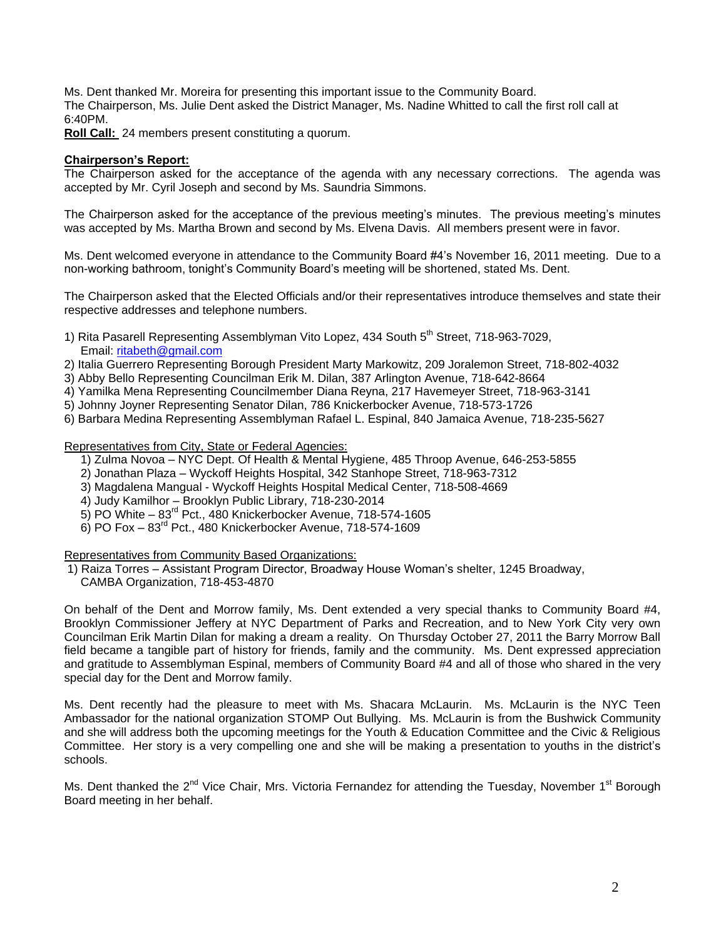Ms. Dent thanked Mr. Moreira for presenting this important issue to the Community Board. The Chairperson, Ms. Julie Dent asked the District Manager, Ms. Nadine Whitted to call the first roll call at 6:40PM.

**Roll Call:** 24 members present constituting a quorum.

## **Chairperson's Report:**

The Chairperson asked for the acceptance of the agenda with any necessary corrections. The agenda was accepted by Mr. Cyril Joseph and second by Ms. Saundria Simmons.

The Chairperson asked for the acceptance of the previous meeting's minutes. The previous meeting's minutes was accepted by Ms. Martha Brown and second by Ms. Elvena Davis. All members present were in favor.

Ms. Dent welcomed everyone in attendance to the Community Board #4's November 16, 2011 meeting. Due to a non-working bathroom, tonight's Community Board's meeting will be shortened, stated Ms. Dent.

The Chairperson asked that the Elected Officials and/or their representatives introduce themselves and state their respective addresses and telephone numbers.

- 1) Rita Pasarell Representing Assemblyman Vito Lopez, 434 South 5<sup>th</sup> Street, 718-963-7029, Email: [ritabeth@gmail.com](mailto:ritabeth@gmail.com)
- 2) Italia Guerrero Representing Borough President Marty Markowitz, 209 Joralemon Street, 718-802-4032
- 3) Abby Bello Representing Councilman Erik M. Dilan, 387 Arlington Avenue, 718-642-8664
- 4) Yamilka Mena Representing Councilmember Diana Reyna, 217 Havemeyer Street, 718-963-3141
- 5) Johnny Joyner Representing Senator Dilan, 786 Knickerbocker Avenue, 718-573-1726
- 6) Barbara Medina Representing Assemblyman Rafael L. Espinal, 840 Jamaica Avenue, 718-235-5627

Representatives from City, State or Federal Agencies:

- 1) Zulma Novoa NYC Dept. Of Health & Mental Hygiene, 485 Throop Avenue, 646-253-5855
- 2) Jonathan Plaza Wyckoff Heights Hospital, 342 Stanhope Street, 718-963-7312
- 3) Magdalena Mangual Wyckoff Heights Hospital Medical Center, 718-508-4669
- 4) Judy Kamilhor Brooklyn Public Library, 718-230-2014
- 5) PO White 83rd Pct., 480 Knickerbocker Avenue, 718-574-1605
- $6)$  PO Fox  $83<sup>rd</sup>$  Pct., 480 Knickerbocker Avenue, 718-574-1609

Representatives from Community Based Organizations:

- 1) Raiza Torres Assistant Program Director, Broadway House Woman's shelter, 1245 Broadway,
	- CAMBA Organization, 718-453-4870

On behalf of the Dent and Morrow family, Ms. Dent extended a very special thanks to Community Board #4, Brooklyn Commissioner Jeffery at NYC Department of Parks and Recreation, and to New York City very own Councilman Erik Martin Dilan for making a dream a reality. On Thursday October 27, 2011 the Barry Morrow Ball field became a tangible part of history for friends, family and the community. Ms. Dent expressed appreciation and gratitude to Assemblyman Espinal, members of Community Board #4 and all of those who shared in the very special day for the Dent and Morrow family.

Ms. Dent recently had the pleasure to meet with Ms. Shacara McLaurin. Ms. McLaurin is the NYC Teen Ambassador for the national organization STOMP Out Bullying. Ms. McLaurin is from the Bushwick Community and she will address both the upcoming meetings for the Youth & Education Committee and the Civic & Religious Committee. Her story is a very compelling one and she will be making a presentation to youths in the district's schools.

Ms. Dent thanked the 2<sup>nd</sup> Vice Chair, Mrs. Victoria Fernandez for attending the Tuesday, November 1<sup>st</sup> Borough Board meeting in her behalf.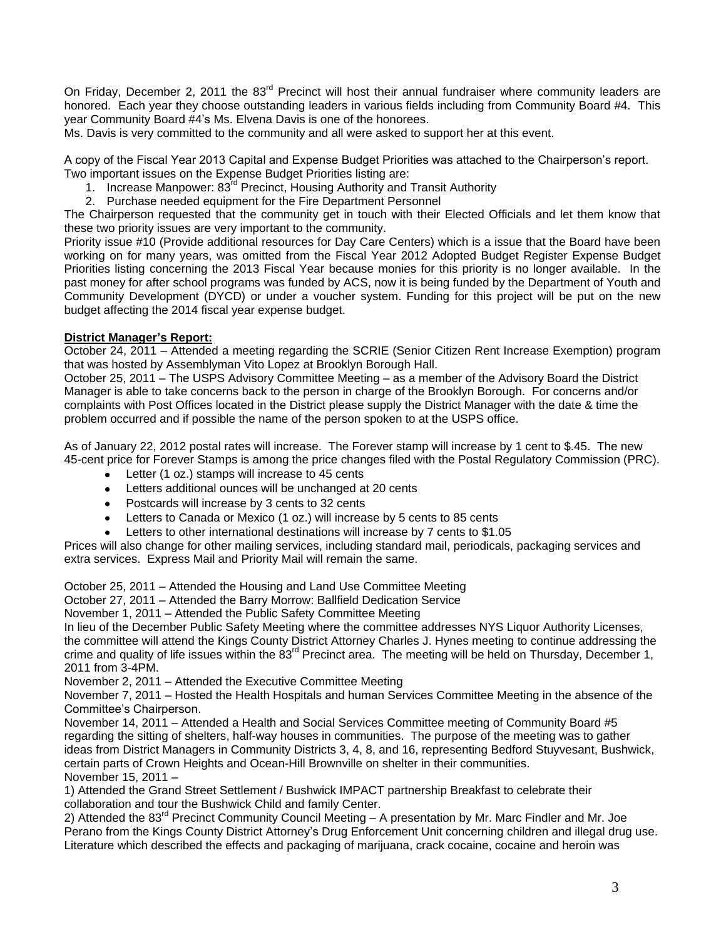On Friday, December 2, 2011 the 83<sup>rd</sup> Precinct will host their annual fundraiser where community leaders are honored. Each year they choose outstanding leaders in various fields including from Community Board #4. This year Community Board #4's Ms. Elvena Davis is one of the honorees.

Ms. Davis is very committed to the community and all were asked to support her at this event.

A copy of the Fiscal Year 2013 Capital and Expense Budget Priorities was attached to the Chairperson's report. Two important issues on the Expense Budget Priorities listing are:

- 1. Increase Manpower: 83rd Precinct, Housing Authority and Transit Authority
- 2. Purchase needed equipment for the Fire Department Personnel

The Chairperson requested that the community get in touch with their Elected Officials and let them know that these two priority issues are very important to the community.

Priority issue #10 (Provide additional resources for Day Care Centers) which is a issue that the Board have been working on for many years, was omitted from the Fiscal Year 2012 Adopted Budget Register Expense Budget Priorities listing concerning the 2013 Fiscal Year because monies for this priority is no longer available. In the past money for after school programs was funded by ACS, now it is being funded by the Department of Youth and Community Development (DYCD) or under a voucher system. Funding for this project will be put on the new budget affecting the 2014 fiscal year expense budget.

### **District Manager's Report:**

October 24, 2011 – Attended a meeting regarding the SCRIE (Senior Citizen Rent Increase Exemption) program that was hosted by Assemblyman Vito Lopez at Brooklyn Borough Hall.

October 25, 2011 – The USPS Advisory Committee Meeting – as a member of the Advisory Board the District Manager is able to take concerns back to the person in charge of the Brooklyn Borough. For concerns and/or complaints with Post Offices located in the District please supply the District Manager with the date & time the problem occurred and if possible the name of the person spoken to at the USPS office.

As of January 22, 2012 postal rates will increase. The Forever stamp will increase by 1 cent to \$.45. The new 45-cent price for Forever Stamps is among the price changes filed with the Postal Regulatory Commission (PRC).

- Letter (1 oz.) stamps will increase to 45 cents  $\bullet$
- Letters additional ounces will be unchanged at 20 cents  $\bullet$
- Postcards will increase by 3 cents to 32 cents
- Letters to Canada or Mexico (1 oz.) will increase by 5 cents to 85 cents  $\bullet$
- Letters to other international destinations will increase by 7 cents to \$1.05

Prices will also change for other mailing services, including standard mail, periodicals, packaging services and extra services. Express Mail and Priority Mail will remain the same.

October 25, 2011 – Attended the Housing and Land Use Committee Meeting

October 27, 2011 – Attended the Barry Morrow: Ballfield Dedication Service

November 1, 2011 – Attended the Public Safety Committee Meeting

In lieu of the December Public Safety Meeting where the committee addresses NYS Liquor Authority Licenses, the committee will attend the Kings County District Attorney Charles J. Hynes meeting to continue addressing the crime and quality of life issues within the  $83<sup>rd</sup>$  Precinct area. The meeting will be held on Thursday, December 1, 2011 from 3-4PM.

November 2, 2011 – Attended the Executive Committee Meeting

November 7, 2011 – Hosted the Health Hospitals and human Services Committee Meeting in the absence of the Committee's Chairperson.

November 14, 2011 – Attended a Health and Social Services Committee meeting of Community Board #5 regarding the sitting of shelters, half-way houses in communities. The purpose of the meeting was to gather ideas from District Managers in Community Districts 3, 4, 8, and 16, representing Bedford Stuyvesant, Bushwick, certain parts of Crown Heights and Ocean-Hill Brownville on shelter in their communities. November 15, 2011 –

1) Attended the Grand Street Settlement / Bushwick IMPACT partnership Breakfast to celebrate their collaboration and tour the Bushwick Child and family Center.

2) Attended the 83<sup>rd</sup> Precinct Community Council Meeting  $- A$  presentation by Mr. Marc Findler and Mr. Joe Perano from the Kings County District Attorney's Drug Enforcement Unit concerning children and illegal drug use. Literature which described the effects and packaging of marijuana, crack cocaine, cocaine and heroin was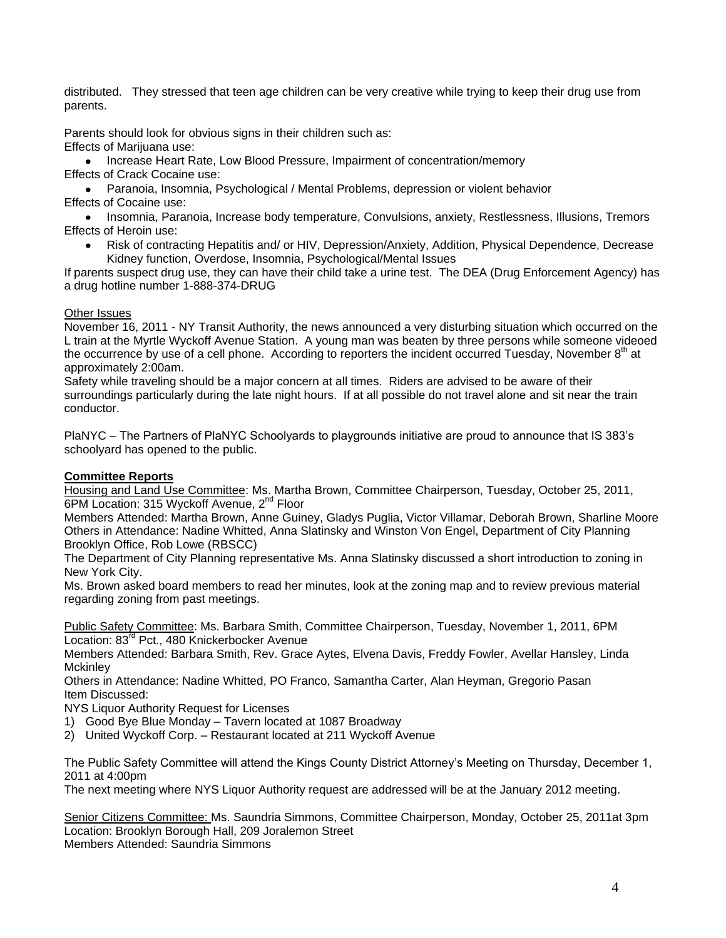distributed. They stressed that teen age children can be very creative while trying to keep their drug use from parents.

Parents should look for obvious signs in their children such as:

Effects of Marijuana use:

Increase Heart Rate, Low Blood Pressure, Impairment of concentration/memory Effects of Crack Cocaine use:

Paranoia, Insomnia, Psychological / Mental Problems, depression or violent behavior Effects of Cocaine use:

• Insomnia, Paranoia, Increase body temperature, Convulsions, anxiety, Restlessness, Illusions, Tremors Effects of Heroin use:

Risk of contracting Hepatitis and/ or HIV, Depression/Anxiety, Addition, Physical Dependence, Decrease Kidney function, Overdose, Insomnia, Psychological/Mental Issues

If parents suspect drug use, they can have their child take a urine test. The DEA (Drug Enforcement Agency) has a drug hotline number 1-888-374-DRUG

# Other Issues

November 16, 2011 - NY Transit Authority, the news announced a very disturbing situation which occurred on the L train at the Myrtle Wyckoff Avenue Station. A young man was beaten by three persons while someone videoed the occurrence by use of a cell phone. According to reporters the incident occurred Tuesday, November 8<sup>th</sup> at approximately 2:00am.

Safety while traveling should be a major concern at all times. Riders are advised to be aware of their surroundings particularly during the late night hours. If at all possible do not travel alone and sit near the train conductor.

PlaNYC – The Partners of PlaNYC Schoolyards to playgrounds initiative are proud to announce that IS 383's schoolyard has opened to the public.

# **Committee Reports**

Housing and Land Use Committee: Ms. Martha Brown, Committee Chairperson, Tuesday, October 25, 2011, 6PM Location: 315 Wyckoff Avenue, 2<sup>nd</sup> Floor

Members Attended: Martha Brown, Anne Guiney, Gladys Puglia, Victor Villamar, Deborah Brown, Sharline Moore Others in Attendance: Nadine Whitted, Anna Slatinsky and Winston Von Engel, Department of City Planning Brooklyn Office, Rob Lowe (RBSCC)

The Department of City Planning representative Ms. Anna Slatinsky discussed a short introduction to zoning in New York City.

Ms. Brown asked board members to read her minutes, look at the zoning map and to review previous material regarding zoning from past meetings.

Public Safety Committee: Ms. Barbara Smith, Committee Chairperson, Tuesday, November 1, 2011, 6PM Location: 83<sup>rd</sup> Pct., 480 Knickerbocker Avenue

Members Attended: Barbara Smith, Rev. Grace Aytes, Elvena Davis, Freddy Fowler, Avellar Hansley, Linda **Mckinley** 

Others in Attendance: Nadine Whitted, PO Franco, Samantha Carter, Alan Heyman, Gregorio Pasan Item Discussed:

NYS Liquor Authority Request for Licenses

- 1) Good Bye Blue Monday Tavern located at 1087 Broadway
- 2) United Wyckoff Corp. Restaurant located at 211 Wyckoff Avenue

The Public Safety Committee will attend the Kings County District Attorney's Meeting on Thursday, December 1, 2011 at 4:00pm

The next meeting where NYS Liquor Authority request are addressed will be at the January 2012 meeting.

Senior Citizens Committee: Ms. Saundria Simmons, Committee Chairperson, Monday, October 25, 2011at 3pm Location: Brooklyn Borough Hall, 209 Joralemon Street Members Attended: Saundria Simmons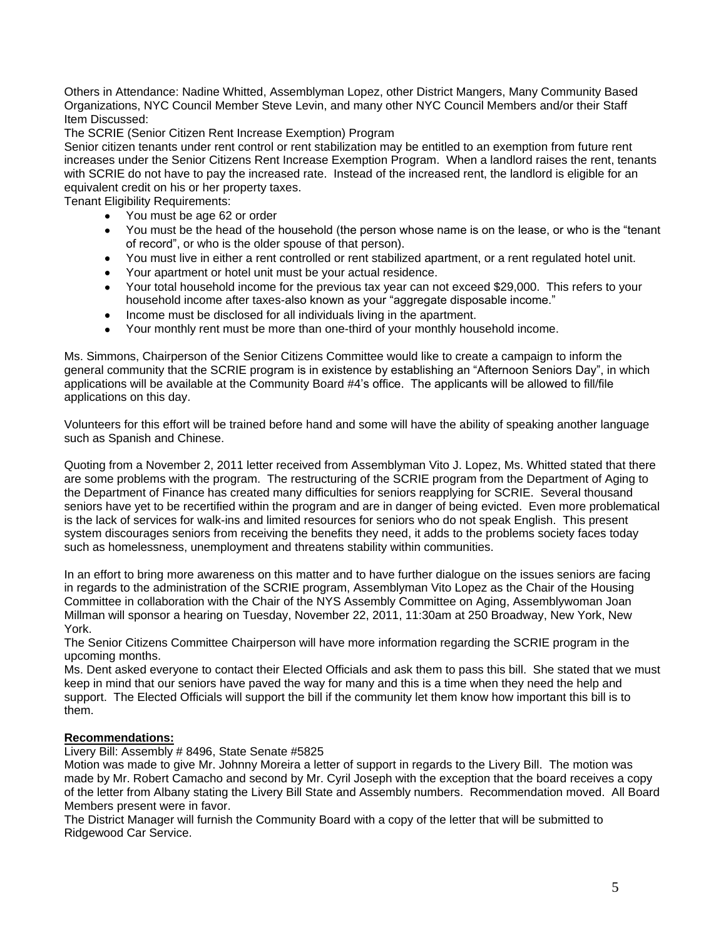Others in Attendance: Nadine Whitted, Assemblyman Lopez, other District Mangers, Many Community Based Organizations, NYC Council Member Steve Levin, and many other NYC Council Members and/or their Staff Item Discussed:

The SCRIE (Senior Citizen Rent Increase Exemption) Program

Senior citizen tenants under rent control or rent stabilization may be entitled to an exemption from future rent increases under the Senior Citizens Rent Increase Exemption Program. When a landlord raises the rent, tenants with SCRIE do not have to pay the increased rate. Instead of the increased rent, the landlord is eligible for an equivalent credit on his or her property taxes.

Tenant Eligibility Requirements:

- You must be age 62 or order  $\bullet$
- You must be the head of the household (the person whose name is on the lease, or who is the "tenant  $\bullet$ of record", or who is the older spouse of that person).
- You must live in either a rent controlled or rent stabilized apartment, or a rent regulated hotel unit.  $\bullet$
- Your apartment or hotel unit must be your actual residence.
- Your total household income for the previous tax year can not exceed \$29,000. This refers to your household income after taxes-also known as your "aggregate disposable income."
- Income must be disclosed for all individuals living in the apartment.  $\bullet$
- Your monthly rent must be more than one-third of your monthly household income.

Ms. Simmons, Chairperson of the Senior Citizens Committee would like to create a campaign to inform the general community that the SCRIE program is in existence by establishing an "Afternoon Seniors Day", in which applications will be available at the Community Board #4's office. The applicants will be allowed to fill/file applications on this day.

Volunteers for this effort will be trained before hand and some will have the ability of speaking another language such as Spanish and Chinese.

Quoting from a November 2, 2011 letter received from Assemblyman Vito J. Lopez, Ms. Whitted stated that there are some problems with the program. The restructuring of the SCRIE program from the Department of Aging to the Department of Finance has created many difficulties for seniors reapplying for SCRIE. Several thousand seniors have yet to be recertified within the program and are in danger of being evicted. Even more problematical is the lack of services for walk-ins and limited resources for seniors who do not speak English. This present system discourages seniors from receiving the benefits they need, it adds to the problems society faces today such as homelessness, unemployment and threatens stability within communities.

In an effort to bring more awareness on this matter and to have further dialogue on the issues seniors are facing in regards to the administration of the SCRIE program, Assemblyman Vito Lopez as the Chair of the Housing Committee in collaboration with the Chair of the NYS Assembly Committee on Aging, Assemblywoman Joan Millman will sponsor a hearing on Tuesday, November 22, 2011, 11:30am at 250 Broadway, New York, New York.

The Senior Citizens Committee Chairperson will have more information regarding the SCRIE program in the upcoming months.

Ms. Dent asked everyone to contact their Elected Officials and ask them to pass this bill. She stated that we must keep in mind that our seniors have paved the way for many and this is a time when they need the help and support. The Elected Officials will support the bill if the community let them know how important this bill is to them.

#### **Recommendations:**

Livery Bill: Assembly # 8496, State Senate #5825

Motion was made to give Mr. Johnny Moreira a letter of support in regards to the Livery Bill. The motion was made by Mr. Robert Camacho and second by Mr. Cyril Joseph with the exception that the board receives a copy of the letter from Albany stating the Livery Bill State and Assembly numbers. Recommendation moved. All Board Members present were in favor.

The District Manager will furnish the Community Board with a copy of the letter that will be submitted to Ridgewood Car Service.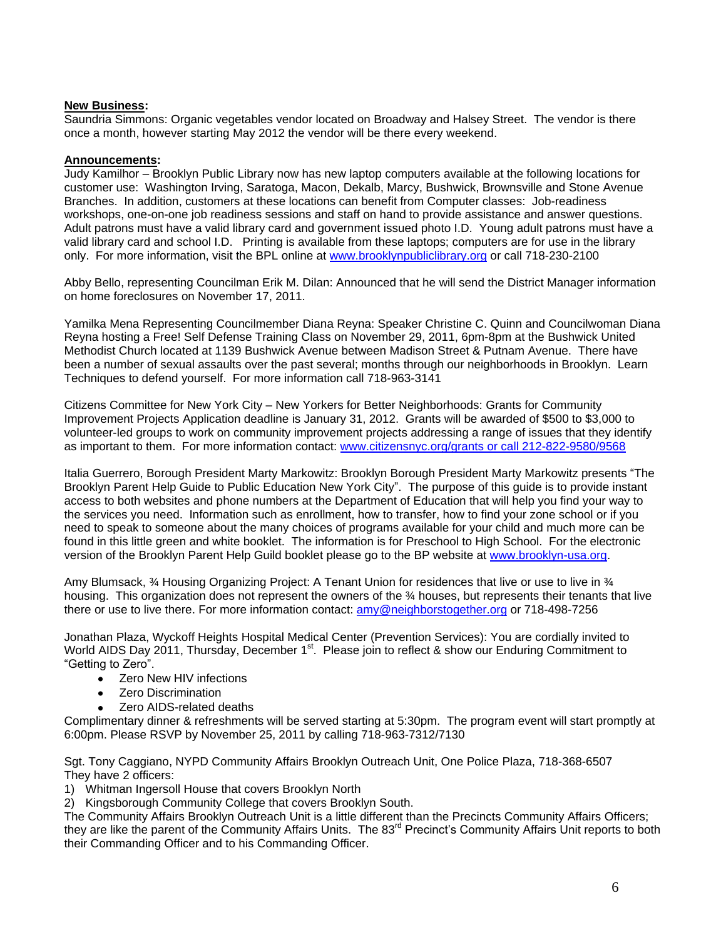### **New Business:**

Saundria Simmons: Organic vegetables vendor located on Broadway and Halsey Street. The vendor is there once a month, however starting May 2012 the vendor will be there every weekend.

### **Announcements:**

Judy Kamilhor – Brooklyn Public Library now has new laptop computers available at the following locations for customer use: Washington Irving, Saratoga, Macon, Dekalb, Marcy, Bushwick, Brownsville and Stone Avenue Branches. In addition, customers at these locations can benefit from Computer classes: Job-readiness workshops, one-on-one job readiness sessions and staff on hand to provide assistance and answer questions. Adult patrons must have a valid library card and government issued photo I.D. Young adult patrons must have a valid library card and school I.D. Printing is available from these laptops; computers are for use in the library only. For more information, visit the BPL online at [www.brooklynpubliclibrary.org](http://www.brooklynpubliclibrary.org/) or call 718-230-2100

Abby Bello, representing Councilman Erik M. Dilan: Announced that he will send the District Manager information on home foreclosures on November 17, 2011.

Yamilka Mena Representing Councilmember Diana Reyna: Speaker Christine C. Quinn and Councilwoman Diana Reyna hosting a Free! Self Defense Training Class on November 29, 2011, 6pm-8pm at the Bushwick United Methodist Church located at 1139 Bushwick Avenue between Madison Street & Putnam Avenue. There have been a number of sexual assaults over the past several; months through our neighborhoods in Brooklyn. Learn Techniques to defend yourself. For more information call 718-963-3141

Citizens Committee for New York City – New Yorkers for Better Neighborhoods: Grants for Community Improvement Projects Application deadline is January 31, 2012. Grants will be awarded of \$500 to \$3,000 to volunteer-led groups to work on community improvement projects addressing a range of issues that they identify as important to them. For more information contact: [www.citizensnyc.org/grants or call 212-822-9580/9568](http://www.citizensnyc.org/grants%20or%20call%20212-822-9580/9568)

Italia Guerrero, Borough President Marty Markowitz: Brooklyn Borough President Marty Markowitz presents "The Brooklyn Parent Help Guide to Public Education New York City". The purpose of this guide is to provide instant access to both websites and phone numbers at the Department of Education that will help you find your way to the services you need. Information such as enrollment, how to transfer, how to find your zone school or if you need to speak to someone about the many choices of programs available for your child and much more can be found in this little green and white booklet. The information is for Preschool to High School. For the electronic version of the Brooklyn Parent Help Guild booklet please go to the BP website at [www.brooklyn-usa.org.](http://www.brooklyn-usa.org/)

Amy Blumsack, ¾ Housing Organizing Project: A Tenant Union for residences that live or use to live in ¾ housing. This organization does not represent the owners of the 34 houses, but represents their tenants that live there or use to live there. For more information contact: [amy@neighborstogether.org](mailto:amy@neighborstogether.org) or 718-498-7256

Jonathan Plaza, Wyckoff Heights Hospital Medical Center (Prevention Services): You are cordially invited to World AIDS Day 2011, Thursday, December 1<sup>st</sup>. Please join to reflect & show our Enduring Commitment to "Getting to Zero".

- Zero New HIV infections
- **Zero Discrimination**
- Zero AIDS-related deaths

Complimentary dinner & refreshments will be served starting at 5:30pm. The program event will start promptly at 6:00pm. Please RSVP by November 25, 2011 by calling 718-963-7312/7130

Sgt. Tony Caggiano, NYPD Community Affairs Brooklyn Outreach Unit, One Police Plaza, 718-368-6507 They have 2 officers:

1) Whitman Ingersoll House that covers Brooklyn North

2) Kingsborough Community College that covers Brooklyn South.

The Community Affairs Brooklyn Outreach Unit is a little different than the Precincts Community Affairs Officers; they are like the parent of the Community Affairs Units. The 83<sup>rd</sup> Precinct's Community Affairs Unit reports to both their Commanding Officer and to his Commanding Officer.